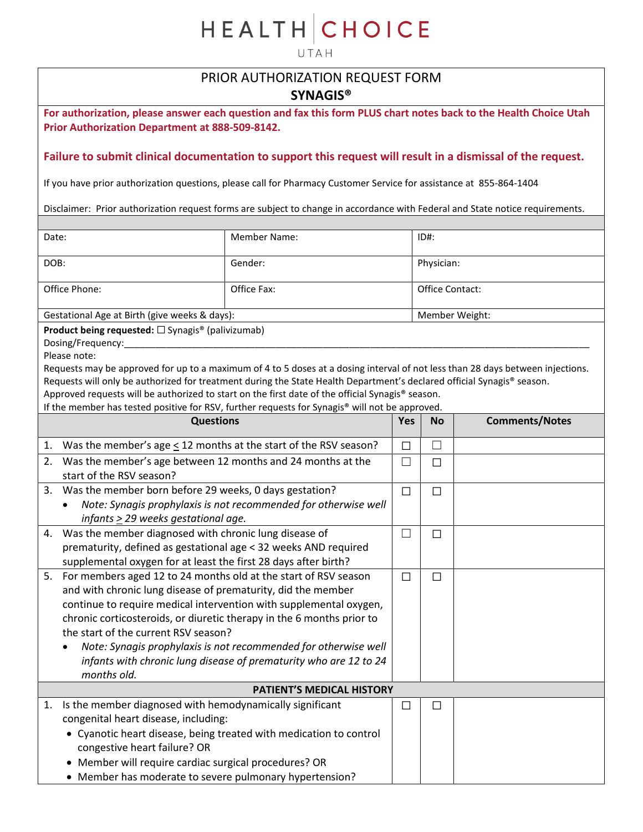# **HEALTH CHOICE**

UTAH

## PRIOR AUTHORIZATION REQUEST FORM

### **SYNAGIS®**

**For authorization, please answer each question and fax this form PLUS chart notes back to the Health Choice Utah Prior Authorization Department at 888-509-8142.** 

#### **Failure to submit clinical documentation to support this request will result in a dismissal of the request.**

If you have prior authorization questions, please call for Pharmacy Customer Service for assistance at 855-864-1404

Disclaimer: Prior authorization request forms are subject to change in accordance with Federal and State notice requirements.

| Date:                                                                                                                                                                                              | <b>Member Name:</b>                                               |                | $ID#$ :         |                       |  |
|----------------------------------------------------------------------------------------------------------------------------------------------------------------------------------------------------|-------------------------------------------------------------------|----------------|-----------------|-----------------------|--|
| DOB:                                                                                                                                                                                               | Gender:                                                           |                | Physician:      |                       |  |
| Office Phone:                                                                                                                                                                                      | Office Fax:                                                       |                | Office Contact: |                       |  |
| Gestational Age at Birth (give weeks & days):                                                                                                                                                      |                                                                   | Member Weight: |                 |                       |  |
| <b>Product being requested:</b> □ Synagis <sup>®</sup> (palivizumab)                                                                                                                               |                                                                   |                |                 |                       |  |
| Dosing/Frequency:                                                                                                                                                                                  |                                                                   |                |                 |                       |  |
| Please note:                                                                                                                                                                                       |                                                                   |                |                 |                       |  |
| Requests may be approved for up to a maximum of 4 to 5 doses at a dosing interval of not less than 28 days between injections.                                                                     |                                                                   |                |                 |                       |  |
| Requests will only be authorized for treatment during the State Health Department's declared official Synagis® season.                                                                             |                                                                   |                |                 |                       |  |
| Approved requests will be authorized to start on the first date of the official Synagis® season.<br>If the member has tested positive for RSV, further requests for Synagis® will not be approved. |                                                                   |                |                 |                       |  |
| <b>Questions</b>                                                                                                                                                                                   |                                                                   | <b>Yes</b>     | <b>No</b>       | <b>Comments/Notes</b> |  |
|                                                                                                                                                                                                    |                                                                   |                |                 |                       |  |
| Was the member's age $\leq$ 12 months at the start of the RSV season?<br>1.                                                                                                                        |                                                                   | $\Box$         | $\Box$          |                       |  |
| 2. Was the member's age between 12 months and 24 months at the                                                                                                                                     |                                                                   | $\Box$         | $\Box$          |                       |  |
| start of the RSV season?                                                                                                                                                                           |                                                                   |                |                 |                       |  |
| Was the member born before 29 weeks, 0 days gestation?<br>3.                                                                                                                                       |                                                                   | $\Box$         | $\Box$          |                       |  |
| Note: Synagis prophylaxis is not recommended for otherwise well                                                                                                                                    |                                                                   |                |                 |                       |  |
| infants $\geq$ 29 weeks gestational age.                                                                                                                                                           |                                                                   |                |                 |                       |  |
| Was the member diagnosed with chronic lung disease of<br>4.                                                                                                                                        |                                                                   | $\Box$         | $\Box$          |                       |  |
| prematurity, defined as gestational age < 32 weeks AND required                                                                                                                                    |                                                                   |                |                 |                       |  |
| supplemental oxygen for at least the first 28 days after birth?                                                                                                                                    |                                                                   |                |                 |                       |  |
| For members aged 12 to 24 months old at the start of RSV season<br>5.                                                                                                                              |                                                                   | $\Box$         | $\Box$          |                       |  |
| and with chronic lung disease of prematurity, did the member                                                                                                                                       |                                                                   |                |                 |                       |  |
| continue to require medical intervention with supplemental oxygen,                                                                                                                                 |                                                                   |                |                 |                       |  |
| chronic corticosteroids, or diuretic therapy in the 6 months prior to                                                                                                                              |                                                                   |                |                 |                       |  |
| the start of the current RSV season?                                                                                                                                                               |                                                                   |                |                 |                       |  |
| ٠                                                                                                                                                                                                  | Note: Synagis prophylaxis is not recommended for otherwise well   |                |                 |                       |  |
| months old.                                                                                                                                                                                        | infants with chronic lung disease of prematurity who are 12 to 24 |                |                 |                       |  |
|                                                                                                                                                                                                    | PATIENT'S MEDICAL HISTORY                                         |                |                 |                       |  |
|                                                                                                                                                                                                    |                                                                   |                |                 |                       |  |
| Is the member diagnosed with hemodynamically significant<br>1.<br>congenital heart disease, including:                                                                                             |                                                                   | □              | $\Box$          |                       |  |
| • Cyanotic heart disease, being treated with medication to control                                                                                                                                 |                                                                   |                |                 |                       |  |
| congestive heart failure? OR                                                                                                                                                                       |                                                                   |                |                 |                       |  |
| Member will require cardiac surgical procedures? OR                                                                                                                                                |                                                                   |                |                 |                       |  |
| • Member has moderate to severe pulmonary hypertension?                                                                                                                                            |                                                                   |                |                 |                       |  |